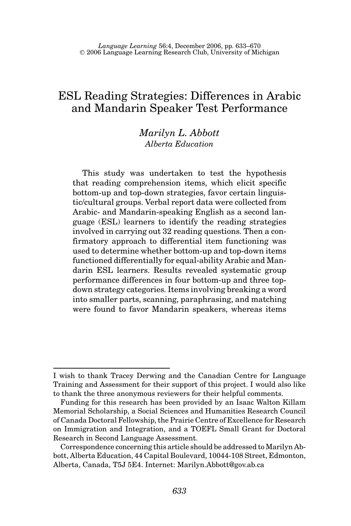# ESL Reading Strategies: Differences in Arabic and Mandarin Speaker Test Performance

# *Marilyn L. Abbott Alberta Education*

This study was undertaken to test the hypothesis that reading comprehension items, which elicit specific bottom-up and top-down strategies, favor certain linguistic/cultural groups. Verbal report data were collected from Arabic- and Mandarin-speaking English as a second language (ESL) learners to identify the reading strategies involved in carrying out 32 reading questions. Then a confirmatory approach to differential item functioning was used to determine whether bottom-up and top-down items functioned differentially for equal-ability Arabic and Mandarin ESL learners. Results revealed systematic group performance differences in four bottom-up and three topdown strategy categories. Items involving breaking a word into smaller parts, scanning, paraphrasing, and matching were found to favor Mandarin speakers, whereas items

I wish to thank Tracey Derwing and the Canadian Centre for Language Training and Assessment for their support of this project. I would also like to thank the three anonymous reviewers for their helpful comments.

Funding for this research has been provided by an Isaac Walton Killam Memorial Scholarship, a Social Sciences and Humanities Research Council of Canada Doctoral Fellowship, the Prairie Centre of Excellence for Research on Immigration and Integration, and a TOEFL Small Grant for Doctoral Research in Second Language Assessment.

Correspondence concerning this article should be addressed to Marilyn Abbott, Alberta Education, 44 Capital Boulevard, 10044-108 Street, Edmonton, Alberta, Canada, T5J 5E4. Internet: Marilyn.Abbott@gov.ab.ca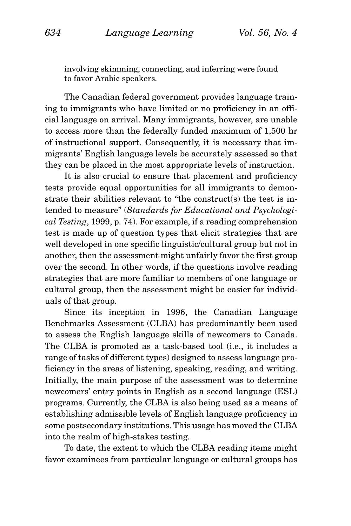involving skimming, connecting, and inferring were found to favor Arabic speakers.

The Canadian federal government provides language training to immigrants who have limited or no proficiency in an official language on arrival. Many immigrants, however, are unable to access more than the federally funded maximum of 1,500 hr of instructional support. Consequently, it is necessary that immigrants' English language levels be accurately assessed so that they can be placed in the most appropriate levels of instruction.

It is also crucial to ensure that placement and proficiency tests provide equal opportunities for all immigrants to demonstrate their abilities relevant to "the construct(s) the test is intended to measure" (*Standards for Educational and Psychological Testing*, 1999, p. 74). For example, if a reading comprehension test is made up of question types that elicit strategies that are well developed in one specific linguistic/cultural group but not in another, then the assessment might unfairly favor the first group over the second. In other words, if the questions involve reading strategies that are more familiar to members of one language or cultural group, then the assessment might be easier for individuals of that group.

Since its inception in 1996, the Canadian Language Benchmarks Assessment (CLBA) has predominantly been used to assess the English language skills of newcomers to Canada. The CLBA is promoted as a task-based tool (i.e., it includes a range of tasks of different types) designed to assess language proficiency in the areas of listening, speaking, reading, and writing. Initially, the main purpose of the assessment was to determine newcomers' entry points in English as a second language (ESL) programs. Currently, the CLBA is also being used as a means of establishing admissible levels of English language proficiency in some postsecondary institutions. This usage has moved the CLBA into the realm of high-stakes testing.

To date, the extent to which the CLBA reading items might favor examinees from particular language or cultural groups has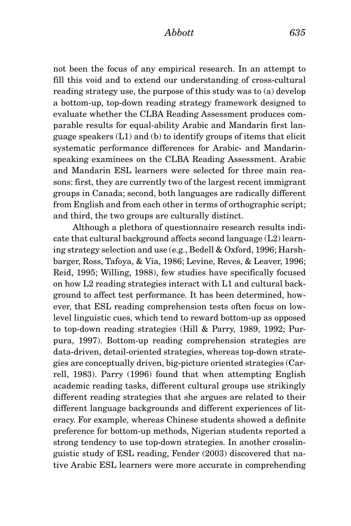*Abbott 635*

not been the focus of any empirical research. In an attempt to fill this void and to extend our understanding of cross-cultural reading strategy use, the purpose of this study was to (a) develop a bottom-up, top-down reading strategy framework designed to evaluate whether the CLBA Reading Assessment produces comparable results for equal-ability Arabic and Mandarin first language speakers (L1) and (b) to identify groups of items that elicit systematic performance differences for Arabic- and Mandarinspeaking examinees on the CLBA Reading Assessment. Arabic and Mandarin ESL learners were selected for three main reasons: first, they are currently two of the largest recent immigrant groups in Canada; second, both languages are radically different from English and from each other in terms of orthographic script; and third, the two groups are culturally distinct.

Although a plethora of questionnaire research results indicate that cultural background affects second language (L2) learning strategy selection and use (e.g., Bedell & Oxford, 1996; Harshbarger, Ross, Tafoya, & Via, 1986; Levine, Reves, & Leaver, 1996; Reid, 1995; Willing, 1988), few studies have specifically focused on how L2 reading strategies interact with L1 and cultural background to affect test performance. It has been determined, however, that ESL reading comprehension tests often focus on lowlevel linguistic cues, which tend to reward bottom-up as opposed to top-down reading strategies (Hill & Parry, 1989, 1992; Purpura, 1997). Bottom-up reading comprehension strategies are data-driven, detail-oriented strategies, whereas top-down strategies are conceptually driven, big-picture oriented strategies (Carrell, 1983). Parry (1996) found that when attempting English academic reading tasks, different cultural groups use strikingly different reading strategies that she argues are related to their different language backgrounds and different experiences of literacy. For example, whereas Chinese students showed a definite preference for bottom-up methods, Nigerian students reported a strong tendency to use top-down strategies. In another crosslinguistic study of ESL reading, Fender (2003) discovered that native Arabic ESL learners were more accurate in comprehending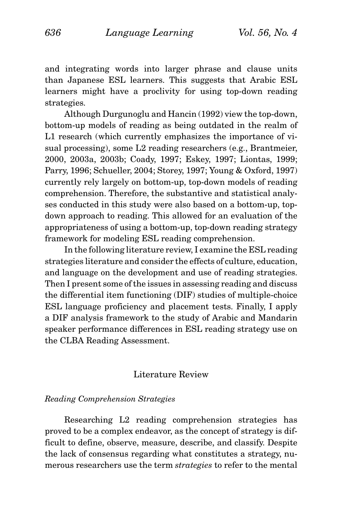and integrating words into larger phrase and clause units than Japanese ESL learners. This suggests that Arabic ESL learners might have a proclivity for using top-down reading strategies.

Although Durgunoglu and Hancin (1992) view the top-down, bottom-up models of reading as being outdated in the realm of L1 research (which currently emphasizes the importance of visual processing), some L2 reading researchers (e.g., Brantmeier, 2000, 2003a, 2003b; Coady, 1997; Eskey, 1997; Liontas, 1999; Parry, 1996; Schueller, 2004; Storey, 1997; Young & Oxford, 1997) currently rely largely on bottom-up, top-down models of reading comprehension. Therefore, the substantive and statistical analyses conducted in this study were also based on a bottom-up, topdown approach to reading. This allowed for an evaluation of the appropriateness of using a bottom-up, top-down reading strategy framework for modeling ESL reading comprehension.

In the following literature review, I examine the ESL reading strategies literature and consider the effects of culture, education, and language on the development and use of reading strategies. Then I present some of the issues in assessing reading and discuss the differential item functioning (DIF) studies of multiple-choice ESL language proficiency and placement tests. Finally, I apply a DIF analysis framework to the study of Arabic and Mandarin speaker performance differences in ESL reading strategy use on the CLBA Reading Assessment.

# Literature Review

# *Reading Comprehension Strategies*

Researching L2 reading comprehension strategies has proved to be a complex endeavor, as the concept of strategy is difficult to define, observe, measure, describe, and classify. Despite the lack of consensus regarding what constitutes a strategy, numerous researchers use the term *strategies* to refer to the mental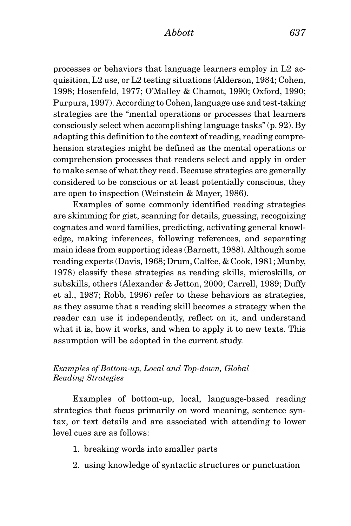processes or behaviors that language learners employ in L2 acquisition, L2 use, or L2 testing situations (Alderson, 1984; Cohen, 1998; Hosenfeld, 1977; O'Malley & Chamot, 1990; Oxford, 1990; Purpura, 1997). According to Cohen, language use and test-taking strategies are the "mental operations or processes that learners consciously select when accomplishing language tasks" (p. 92). By adapting this definition to the context of reading, reading comprehension strategies might be defined as the mental operations or comprehension processes that readers select and apply in order to make sense of what they read. Because strategies are generally considered to be conscious or at least potentially conscious, they are open to inspection (Weinstein & Mayer, 1986).

Examples of some commonly identified reading strategies are skimming for gist, scanning for details, guessing, recognizing cognates and word families, predicting, activating general knowledge, making inferences, following references, and separating main ideas from supporting ideas (Barnett, 1988). Although some reading experts (Davis, 1968; Drum, Calfee, & Cook, 1981; Munby, 1978) classify these strategies as reading skills, microskills, or subskills, others (Alexander & Jetton, 2000; Carrell, 1989; Duffy et al., 1987; Robb, 1996) refer to these behaviors as strategies, as they assume that a reading skill becomes a strategy when the reader can use it independently, reflect on it, and understand what it is, how it works, and when to apply it to new texts. This assumption will be adopted in the current study.

# *Examples of Bottom-up, Local and Top-down, Global Reading Strategies*

Examples of bottom-up, local, language-based reading strategies that focus primarily on word meaning, sentence syntax, or text details and are associated with attending to lower level cues are as follows:

- 1. breaking words into smaller parts
- 2. using knowledge of syntactic structures or punctuation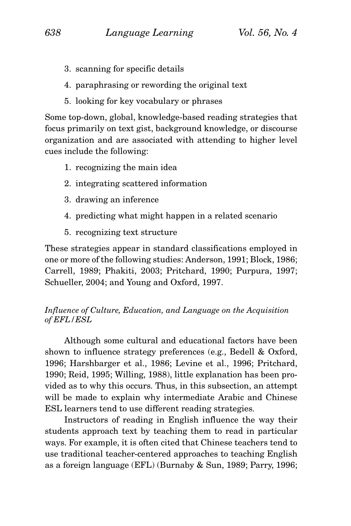- 3. scanning for specific details
- 4. paraphrasing or rewording the original text
- 5. looking for key vocabulary or phrases

Some top-down, global, knowledge-based reading strategies that focus primarily on text gist, background knowledge, or discourse organization and are associated with attending to higher level cues include the following:

- 1. recognizing the main idea
- 2. integrating scattered information
- 3. drawing an inference
- 4. predicting what might happen in a related scenario
- 5. recognizing text structure

These strategies appear in standard classifications employed in one or more of the following studies: Anderson, 1991; Block, 1986; Carrell, 1989; Phakiti, 2003; Pritchard, 1990; Purpura, 1997; Schueller, 2004; and Young and Oxford, 1997.

# *Influence of Culture, Education, and Language on the Acquisition of EFL/ESL*

Although some cultural and educational factors have been shown to influence strategy preferences (e.g., Bedell & Oxford, 1996; Harshbarger et al., 1986; Levine et al., 1996; Pritchard, 1990; Reid, 1995; Willing, 1988), little explanation has been provided as to why this occurs. Thus, in this subsection, an attempt will be made to explain why intermediate Arabic and Chinese ESL learners tend to use different reading strategies.

Instructors of reading in English influence the way their students approach text by teaching them to read in particular ways. For example, it is often cited that Chinese teachers tend to use traditional teacher-centered approaches to teaching English as a foreign language (EFL) (Burnaby & Sun, 1989; Parry, 1996;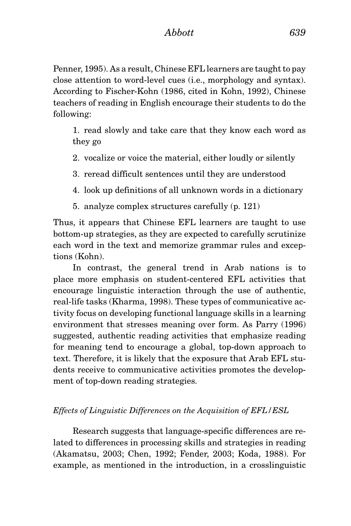Penner, 1995). As a result, Chinese EFL learners are taught to pay close attention to word-level cues (i.e., morphology and syntax). According to Fischer-Kohn (1986, cited in Kohn, 1992), Chinese teachers of reading in English encourage their students to do the following:

1. read slowly and take care that they know each word as they go

2. vocalize or voice the material, either loudly or silently

- 3. reread difficult sentences until they are understood
- 4. look up definitions of all unknown words in a dictionary
- 5. analyze complex structures carefully (p. 121)

Thus, it appears that Chinese EFL learners are taught to use bottom-up strategies, as they are expected to carefully scrutinize each word in the text and memorize grammar rules and exceptions (Kohn).

In contrast, the general trend in Arab nations is to place more emphasis on student-centered EFL activities that encourage linguistic interaction through the use of authentic, real-life tasks (Kharma, 1998). These types of communicative activity focus on developing functional language skills in a learning environment that stresses meaning over form. As Parry (1996) suggested, authentic reading activities that emphasize reading for meaning tend to encourage a global, top-down approach to text. Therefore, it is likely that the exposure that Arab EFL students receive to communicative activities promotes the development of top-down reading strategies.

# *Effects of Linguistic Differences on the Acquisition of EFL/ESL*

Research suggests that language-specific differences are related to differences in processing skills and strategies in reading (Akamatsu, 2003; Chen, 1992; Fender, 2003; Koda, 1988). For example, as mentioned in the introduction, in a crosslinguistic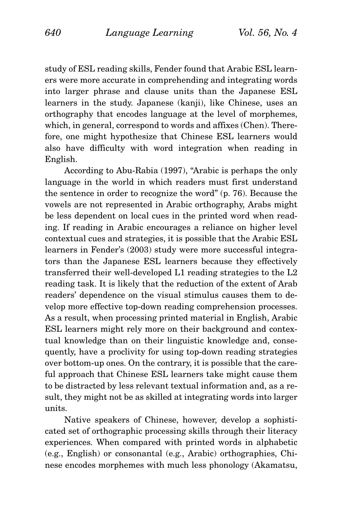study of ESL reading skills, Fender found that Arabic ESL learners were more accurate in comprehending and integrating words into larger phrase and clause units than the Japanese ESL learners in the study. Japanese (kanji), like Chinese, uses an orthography that encodes language at the level of morphemes, which, in general, correspond to words and affixes (Chen). Therefore, one might hypothesize that Chinese ESL learners would also have difficulty with word integration when reading in English.

According to Abu-Rabia (1997), "Arabic is perhaps the only language in the world in which readers must first understand the sentence in order to recognize the word" (p. 76). Because the vowels are not represented in Arabic orthography, Arabs might be less dependent on local cues in the printed word when reading. If reading in Arabic encourages a reliance on higher level contextual cues and strategies, it is possible that the Arabic ESL learners in Fender's (2003) study were more successful integrators than the Japanese ESL learners because they effectively transferred their well-developed L1 reading strategies to the L2 reading task. It is likely that the reduction of the extent of Arab readers' dependence on the visual stimulus causes them to develop more effective top-down reading comprehension processes. As a result, when processing printed material in English, Arabic ESL learners might rely more on their background and contextual knowledge than on their linguistic knowledge and, consequently, have a proclivity for using top-down reading strategies over bottom-up ones. On the contrary, it is possible that the careful approach that Chinese ESL learners take might cause them to be distracted by less relevant textual information and, as a result, they might not be as skilled at integrating words into larger units.

Native speakers of Chinese, however, develop a sophisticated set of orthographic processing skills through their literacy experiences. When compared with printed words in alphabetic (e.g., English) or consonantal (e.g., Arabic) orthographies, Chinese encodes morphemes with much less phonology (Akamatsu,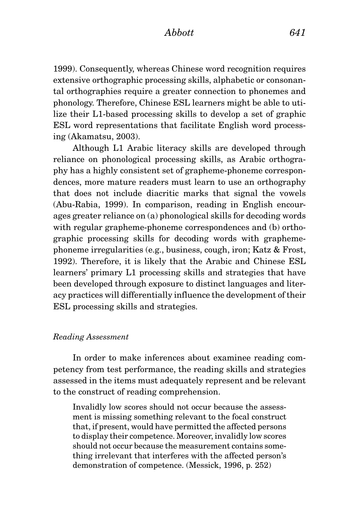1999). Consequently, whereas Chinese word recognition requires extensive orthographic processing skills, alphabetic or consonantal orthographies require a greater connection to phonemes and phonology. Therefore, Chinese ESL learners might be able to utilize their L1-based processing skills to develop a set of graphic ESL word representations that facilitate English word processing (Akamatsu, 2003).

Although L1 Arabic literacy skills are developed through reliance on phonological processing skills, as Arabic orthography has a highly consistent set of grapheme-phoneme correspondences, more mature readers must learn to use an orthography that does not include diacritic marks that signal the vowels (Abu-Rabia, 1999). In comparison, reading in English encourages greater reliance on (a) phonological skills for decoding words with regular grapheme-phoneme correspondences and (b) orthographic processing skills for decoding words with graphemephoneme irregularities (e.g., business, cough, iron; Katz & Frost, 1992). Therefore, it is likely that the Arabic and Chinese ESL learners' primary L1 processing skills and strategies that have been developed through exposure to distinct languages and literacy practices will differentially influence the development of their ESL processing skills and strategies.

# *Reading Assessment*

In order to make inferences about examinee reading competency from test performance, the reading skills and strategies assessed in the items must adequately represent and be relevant to the construct of reading comprehension.

Invalidly low scores should not occur because the assessment is missing something relevant to the focal construct that, if present, would have permitted the affected persons to display their competence. Moreover, invalidly low scores should not occur because the measurement contains something irrelevant that interferes with the affected person's demonstration of competence. (Messick, 1996, p. 252)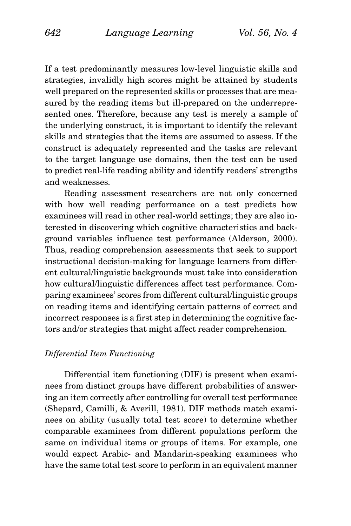If a test predominantly measures low-level linguistic skills and strategies, invalidly high scores might be attained by students well prepared on the represented skills or processes that are measured by the reading items but ill-prepared on the underrepresented ones. Therefore, because any test is merely a sample of the underlying construct, it is important to identify the relevant skills and strategies that the items are assumed to assess. If the construct is adequately represented and the tasks are relevant to the target language use domains, then the test can be used to predict real-life reading ability and identify readers' strengths and weaknesses.

Reading assessment researchers are not only concerned with how well reading performance on a test predicts how examinees will read in other real-world settings; they are also interested in discovering which cognitive characteristics and background variables influence test performance (Alderson, 2000). Thus, reading comprehension assessments that seek to support instructional decision-making for language learners from different cultural/linguistic backgrounds must take into consideration how cultural/linguistic differences affect test performance. Comparing examinees' scores from different cultural/linguistic groups on reading items and identifying certain patterns of correct and incorrect responses is a first step in determining the cognitive factors and/or strategies that might affect reader comprehension.

# *Differential Item Functioning*

Differential item functioning (DIF) is present when examinees from distinct groups have different probabilities of answering an item correctly after controlling for overall test performance (Shepard, Camilli, & Averill, 1981). DIF methods match examinees on ability (usually total test score) to determine whether comparable examinees from different populations perform the same on individual items or groups of items. For example, one would expect Arabic- and Mandarin-speaking examinees who have the same total test score to perform in an equivalent manner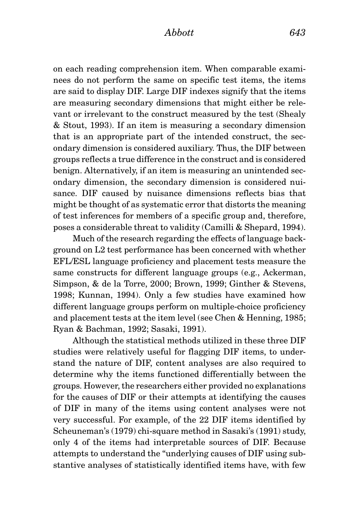on each reading comprehension item. When comparable examinees do not perform the same on specific test items, the items are said to display DIF. Large DIF indexes signify that the items are measuring secondary dimensions that might either be relevant or irrelevant to the construct measured by the test (Shealy & Stout, 1993). If an item is measuring a secondary dimension that is an appropriate part of the intended construct, the secondary dimension is considered auxiliary. Thus, the DIF between groups reflects a true difference in the construct and is considered benign. Alternatively, if an item is measuring an unintended secondary dimension, the secondary dimension is considered nuisance. DIF caused by nuisance dimensions reflects bias that might be thought of as systematic error that distorts the meaning of test inferences for members of a specific group and, therefore, poses a considerable threat to validity (Camilli & Shepard, 1994).

Much of the research regarding the effects of language background on L2 test performance has been concerned with whether EFL/ESL language proficiency and placement tests measure the same constructs for different language groups (e.g., Ackerman, Simpson, & de la Torre, 2000; Brown, 1999; Ginther & Stevens, 1998; Kunnan, 1994). Only a few studies have examined how different language groups perform on multiple-choice proficiency and placement tests at the item level (see Chen & Henning, 1985; Ryan & Bachman, 1992; Sasaki, 1991).

Although the statistical methods utilized in these three DIF studies were relatively useful for flagging DIF items, to understand the nature of DIF, content analyses are also required to determine why the items functioned differentially between the groups. However, the researchers either provided no explanations for the causes of DIF or their attempts at identifying the causes of DIF in many of the items using content analyses were not very successful. For example, of the 22 DIF items identified by Scheuneman's (1979) chi-square method in Sasaki's (1991) study, only 4 of the items had interpretable sources of DIF. Because attempts to understand the "underlying causes of DIF using substantive analyses of statistically identified items have, with few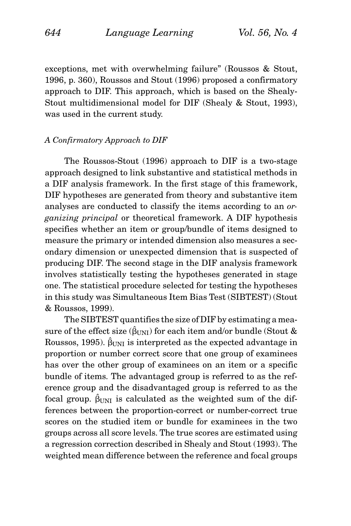exceptions, met with overwhelming failure" (Roussos & Stout, 1996, p. 360), Roussos and Stout (1996) proposed a confirmatory approach to DIF. This approach, which is based on the Shealy-Stout multidimensional model for DIF (Shealy & Stout, 1993), was used in the current study.

# *A Confirmatory Approach to DIF*

The Roussos-Stout (1996) approach to DIF is a two-stage approach designed to link substantive and statistical methods in a DIF analysis framework. In the first stage of this framework, DIF hypotheses are generated from theory and substantive item analyses are conducted to classify the items according to an *organizing principal* or theoretical framework. A DIF hypothesis specifies whether an item or group/bundle of items designed to measure the primary or intended dimension also measures a secondary dimension or unexpected dimension that is suspected of producing DIF. The second stage in the DIF analysis framework involves statistically testing the hypotheses generated in stage one. The statistical procedure selected for testing the hypotheses in this study was Simultaneous Item Bias Test (SIBTEST) (Stout & Roussos, 1999).

The SIBTEST quantifies the size of DIF by estimating a measure of the effect size  $(\hat{\beta}_{\text{UNI}})$  for each item and/or bundle (Stout & Roussos, 1995).  $\hat{\beta}_{\text{UNI}}$  is interpreted as the expected advantage in proportion or number correct score that one group of examinees has over the other group of examinees on an item or a specific bundle of items. The advantaged group is referred to as the reference group and the disadvantaged group is referred to as the focal group.  $\hat{\beta}_{\text{UNI}}$  is calculated as the weighted sum of the differences between the proportion-correct or number-correct true scores on the studied item or bundle for examinees in the two groups across all score levels. The true scores are estimated using a regression correction described in Shealy and Stout (1993). The weighted mean difference between the reference and focal groups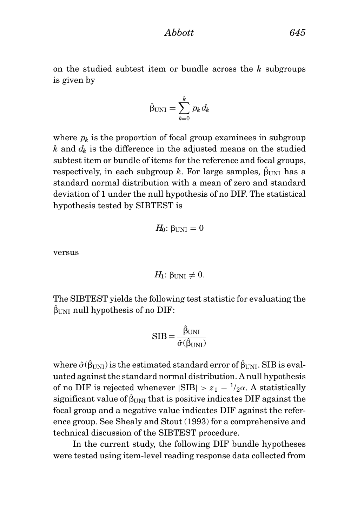*Abbott 645*

on the studied subtest item or bundle across the *k* subgroups is given by

$$
\hat{\beta}_{\text{UNI}} = \sum_{k=0}^{k} p_k d_k
$$

where  $p_k$  is the proportion of focal group examinees in subgroup *k* and *dk* is the difference in the adjusted means on the studied subtest item or bundle of items for the reference and focal groups, respectively, in each subgroup  $k.$  For large samples,  $\hat{\beta}_{\text{UNI}}$  has a standard normal distribution with a mean of zero and standard deviation of 1 under the null hypothesis of no DIF. The statistical hypothesis tested by SIBTEST is

$$
H_0: \beta_{UNI} = 0
$$

versus

$$
H_1: \beta_{\text{UNI}} \neq 0.
$$

The SIBTEST yields the following test statistic for evaluating the  $\hat{\bm{\beta}}_{\text{UNI}}$  null hypothesis of no DIF:

$$
SIB = \frac{\hat{\beta}_{UNI}}{\hat{\sigma}(\hat{\beta}_{UNI})}
$$

where  $\hat{\sigma}(\hat{\beta}_{\text{UNI}})$  is the estimated standard error of  $\hat{\beta}_{\text{UNI}}$ . SIB is evaluated against the standard normal distribution. A null hypothesis of no DIF is rejected whenever  $|SIB| > z_1 - \frac{1}{2}\alpha$ . A statistically significant value of  $\hat{\beta}_{\text{UNI}}$  that is positive indicates DIF against the focal group and a negative value indicates DIF against the reference group. See Shealy and Stout (1993) for a comprehensive and technical discussion of the SIBTEST procedure.

In the current study, the following DIF bundle hypotheses were tested using item-level reading response data collected from

$$
645\,
$$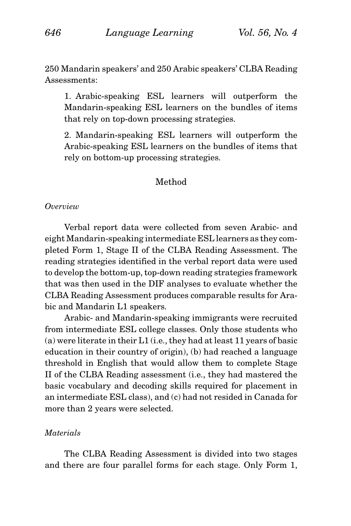250 Mandarin speakers' and 250 Arabic speakers' CLBA Reading Assessments:

1. Arabic-speaking ESL learners will outperform the Mandarin-speaking ESL learners on the bundles of items that rely on top-down processing strategies.

2. Mandarin-speaking ESL learners will outperform the Arabic-speaking ESL learners on the bundles of items that rely on bottom-up processing strategies.

# Method

# *Overview*

Verbal report data were collected from seven Arabic- and eight Mandarin-speaking intermediate ESL learners as they completed Form 1, Stage II of the CLBA Reading Assessment. The reading strategies identified in the verbal report data were used to develop the bottom-up, top-down reading strategies framework that was then used in the DIF analyses to evaluate whether the CLBA Reading Assessment produces comparable results for Arabic and Mandarin L1 speakers.

Arabic- and Mandarin-speaking immigrants were recruited from intermediate ESL college classes. Only those students who (a) were literate in their L1 (i.e., they had at least 11 years of basic education in their country of origin), (b) had reached a language threshold in English that would allow them to complete Stage II of the CLBA Reading assessment (i.e., they had mastered the basic vocabulary and decoding skills required for placement in an intermediate ESL class), and (c) had not resided in Canada for more than 2 years were selected.

# *Materials*

The CLBA Reading Assessment is divided into two stages and there are four parallel forms for each stage. Only Form 1,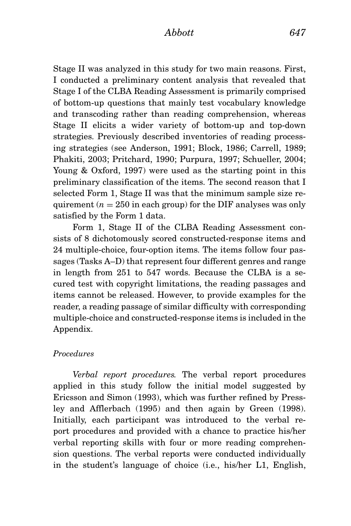Stage II was analyzed in this study for two main reasons. First, I conducted a preliminary content analysis that revealed that Stage I of the CLBA Reading Assessment is primarily comprised of bottom-up questions that mainly test vocabulary knowledge and transcoding rather than reading comprehension, whereas Stage II elicits a wider variety of bottom-up and top-down strategies. Previously described inventories of reading processing strategies (see Anderson, 1991; Block, 1986; Carrell, 1989; Phakiti, 2003; Pritchard, 1990; Purpura, 1997; Schueller, 2004; Young & Oxford, 1997) were used as the starting point in this preliminary classification of the items. The second reason that I selected Form 1, Stage II was that the minimum sample size requirement  $(n = 250$  in each group) for the DIF analyses was only satisfied by the Form 1 data.

Form 1, Stage II of the CLBA Reading Assessment consists of 8 dichotomously scored constructed-response items and 24 multiple-choice, four-option items. The items follow four passages (Tasks A–D) that represent four different genres and range in length from 251 to 547 words. Because the CLBA is a secured test with copyright limitations, the reading passages and items cannot be released. However, to provide examples for the reader, a reading passage of similar difficulty with corresponding multiple-choice and constructed-response items is included in the Appendix.

# *Procedures*

*Verbal report procedures.* The verbal report procedures applied in this study follow the initial model suggested by Ericsson and Simon (1993), which was further refined by Pressley and Afflerbach (1995) and then again by Green (1998). Initially, each participant was introduced to the verbal report procedures and provided with a chance to practice his/her verbal reporting skills with four or more reading comprehension questions. The verbal reports were conducted individually in the student's language of choice (i.e., his/her L1, English,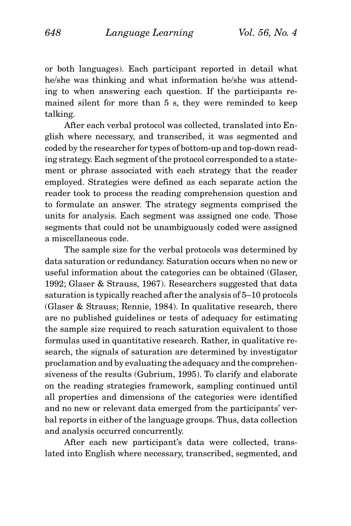or both languages). Each participant reported in detail what he/she was thinking and what information he/she was attending to when answering each question. If the participants remained silent for more than 5 s, they were reminded to keep talking.

After each verbal protocol was collected, translated into English where necessary, and transcribed, it was segmented and coded by the researcher for types of bottom-up and top-down reading strategy. Each segment of the protocol corresponded to a statement or phrase associated with each strategy that the reader employed. Strategies were defined as each separate action the reader took to process the reading comprehension question and to formulate an answer. The strategy segments comprised the units for analysis. Each segment was assigned one code. Those segments that could not be unambiguously coded were assigned a miscellaneous code.

The sample size for the verbal protocols was determined by data saturation or redundancy. Saturation occurs when no new or useful information about the categories can be obtained (Glaser, 1992; Glaser & Strauss, 1967). Researchers suggested that data saturation is typically reached after the analysis of 5–10 protocols (Glaser & Strauss; Rennie, 1984). In qualitative research, there are no published guidelines or tests of adequacy for estimating the sample size required to reach saturation equivalent to those formulas used in quantitative research. Rather, in qualitative research, the signals of saturation are determined by investigator proclamation and by evaluating the adequacy and the comprehensiveness of the results (Gubrium, 1995). To clarify and elaborate on the reading strategies framework, sampling continued until all properties and dimensions of the categories were identified and no new or relevant data emerged from the participants' verbal reports in either of the language groups. Thus, data collection and analysis occurred concurrently.

After each new participant's data were collected, translated into English where necessary, transcribed, segmented, and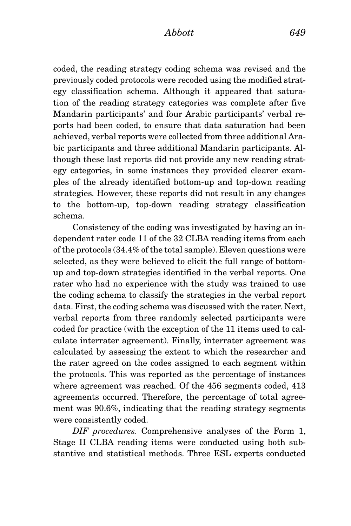coded, the reading strategy coding schema was revised and the previously coded protocols were recoded using the modified strategy classification schema. Although it appeared that saturation of the reading strategy categories was complete after five Mandarin participants' and four Arabic participants' verbal reports had been coded, to ensure that data saturation had been achieved, verbal reports were collected from three additional Arabic participants and three additional Mandarin participants. Although these last reports did not provide any new reading strategy categories, in some instances they provided clearer examples of the already identified bottom-up and top-down reading strategies. However, these reports did not result in any changes to the bottom-up, top-down reading strategy classification schema.

Consistency of the coding was investigated by having an independent rater code 11 of the 32 CLBA reading items from each of the protocols (34.4% of the total sample). Eleven questions were selected, as they were believed to elicit the full range of bottomup and top-down strategies identified in the verbal reports. One rater who had no experience with the study was trained to use the coding schema to classify the strategies in the verbal report data. First, the coding schema was discussed with the rater. Next, verbal reports from three randomly selected participants were coded for practice (with the exception of the 11 items used to calculate interrater agreement). Finally, interrater agreement was calculated by assessing the extent to which the researcher and the rater agreed on the codes assigned to each segment within the protocols. This was reported as the percentage of instances where agreement was reached. Of the 456 segments coded, 413 agreements occurred. Therefore, the percentage of total agreement was 90.6%, indicating that the reading strategy segments were consistently coded.

*DIF procedures.* Comprehensive analyses of the Form 1, Stage II CLBA reading items were conducted using both substantive and statistical methods. Three ESL experts conducted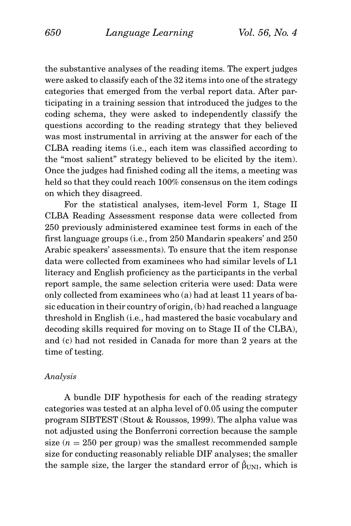the substantive analyses of the reading items. The expert judges were asked to classify each of the 32 items into one of the strategy categories that emerged from the verbal report data. After participating in a training session that introduced the judges to the coding schema, they were asked to independently classify the questions according to the reading strategy that they believed was most instrumental in arriving at the answer for each of the CLBA reading items (i.e., each item was classified according to the "most salient" strategy believed to be elicited by the item). Once the judges had finished coding all the items, a meeting was held so that they could reach 100% consensus on the item codings on which they disagreed.

For the statistical analyses, item-level Form 1, Stage II CLBA Reading Assessment response data were collected from 250 previously administered examinee test forms in each of the first language groups (i.e., from 250 Mandarin speakers' and 250 Arabic speakers' assessments). To ensure that the item response data were collected from examinees who had similar levels of L1 literacy and English proficiency as the participants in the verbal report sample, the same selection criteria were used: Data were only collected from examinees who (a) had at least 11 years of basic education in their country of origin, (b) had reached a language threshold in English (i.e., had mastered the basic vocabulary and decoding skills required for moving on to Stage II of the CLBA), and (c) had not resided in Canada for more than 2 years at the time of testing.

#### *Analysis*

A bundle DIF hypothesis for each of the reading strategy categories was tested at an alpha level of 0.05 using the computer program SIBTEST (Stout & Roussos, 1999). The alpha value was not adjusted using the Bonferroni correction because the sample size  $(n = 250$  per group) was the smallest recommended sample size for conducting reasonably reliable DIF analyses; the smaller the sample size, the larger the standard error of  $\hat{\beta}_{\text{UNI}}$ , which is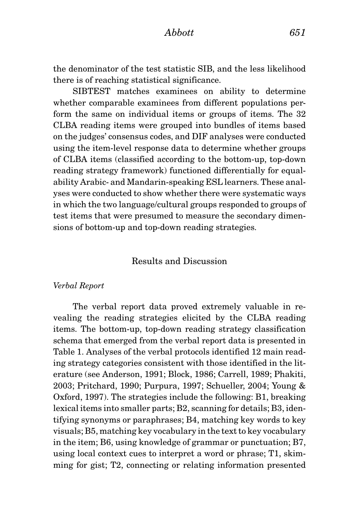the denominator of the test statistic SIB, and the less likelihood there is of reaching statistical significance.

SIBTEST matches examinees on ability to determine whether comparable examinees from different populations perform the same on individual items or groups of items. The 32 CLBA reading items were grouped into bundles of items based on the judges' consensus codes, and DIF analyses were conducted using the item-level response data to determine whether groups of CLBA items (classified according to the bottom-up, top-down reading strategy framework) functioned differentially for equalability Arabic- and Mandarin-speaking ESL learners. These analyses were conducted to show whether there were systematic ways in which the two language/cultural groups responded to groups of test items that were presumed to measure the secondary dimensions of bottom-up and top-down reading strategies.

# Results and Discussion

#### *Verbal Report*

The verbal report data proved extremely valuable in revealing the reading strategies elicited by the CLBA reading items. The bottom-up, top-down reading strategy classification schema that emerged from the verbal report data is presented in Table 1. Analyses of the verbal protocols identified 12 main reading strategy categories consistent with those identified in the literature (see Anderson, 1991; Block, 1986; Carrell, 1989; Phakiti, 2003; Pritchard, 1990; Purpura, 1997; Schueller, 2004; Young & Oxford, 1997). The strategies include the following: B1, breaking lexical items into smaller parts; B2, scanning for details; B3, identifying synonyms or paraphrases; B4, matching key words to key visuals; B5, matching key vocabulary in the text to key vocabulary in the item; B6, using knowledge of grammar or punctuation; B7, using local context cues to interpret a word or phrase; T1, skimming for gist; T2, connecting or relating information presented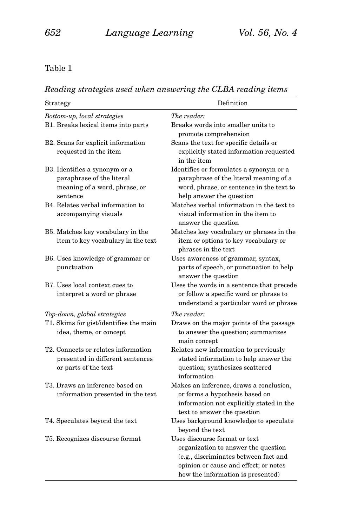# Table 1

*Reading strategies used when answering the CLBA reading items*

| Strategy                                         | Definition                                                                                                                                                                                  |
|--------------------------------------------------|---------------------------------------------------------------------------------------------------------------------------------------------------------------------------------------------|
| Bottom-up, local strategies                      | The reader:                                                                                                                                                                                 |
| B1. Breaks lexical items into parts              | Breaks words into smaller units to<br>promote comprehension                                                                                                                                 |
| B2. Scans for explicit information               | Scans the text for specific details or                                                                                                                                                      |
| requested in the item                            | explicitly stated information requested<br>in the item                                                                                                                                      |
| B3. Identifies a synonym or a                    | Identifies or formulates a synonym or a                                                                                                                                                     |
| paraphrase of the literal                        | paraphrase of the literal meaning of a                                                                                                                                                      |
| meaning of a word, phrase, or<br>sentence        | word, phrase, or sentence in the text to<br>help answer the question                                                                                                                        |
| B4. Relates verbal information to                | Matches verbal information in the text to                                                                                                                                                   |
| accompanying visuals                             | visual information in the item to<br>answer the question                                                                                                                                    |
| B5. Matches key vocabulary in the                | Matches key vocabulary or phrases in the                                                                                                                                                    |
| item to key vocabulary in the text               | item or options to key vocabulary or<br>phrases in the text                                                                                                                                 |
| B6. Uses knowledge of grammar or<br>punctuation  | Uses awareness of grammar, syntax,<br>parts of speech, or punctuation to help<br>answer the question                                                                                        |
| B7. Uses local context cues to                   | Uses the words in a sentence that precede                                                                                                                                                   |
| interpret a word or phrase                       | or follow a specific word or phrase to<br>understand a particular word or phrase                                                                                                            |
| Top-down, global strategies                      | The reader:                                                                                                                                                                                 |
| T1. Skims for gist/identifies the main           | Draws on the major points of the passage                                                                                                                                                    |
| idea, theme, or concept                          | to answer the question; summarizes<br>main concept                                                                                                                                          |
| T <sub>2</sub> . Connects or relates information | Relates new information to previously                                                                                                                                                       |
| presented in different sentences                 | stated information to help answer the                                                                                                                                                       |
| or parts of the text                             | question; synthesizes scattered<br>information                                                                                                                                              |
| T3. Draws an inference based on                  | Makes an inference, draws a conclusion,                                                                                                                                                     |
| information presented in the text                | or forms a hypothesis based on<br>information not explicitly stated in the<br>text to answer the question                                                                                   |
| T4. Speculates beyond the text                   | Uses background knowledge to speculate<br>beyond the text                                                                                                                                   |
| T5. Recognizes discourse format                  | Uses discourse format or text<br>organization to answer the question<br>(e.g., discriminates between fact and<br>opinion or cause and effect; or notes<br>how the information is presented) |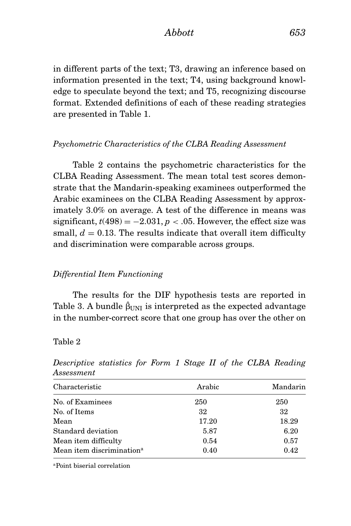*Abbott 653*

in different parts of the text; T3, drawing an inference based on information presented in the text; T4, using background knowledge to speculate beyond the text; and T5, recognizing discourse format. Extended definitions of each of these reading strategies are presented in Table 1.

# *Psychometric Characteristics of the CLBA Reading Assessment*

Table 2 contains the psychometric characteristics for the CLBA Reading Assessment. The mean total test scores demonstrate that the Mandarin-speaking examinees outperformed the Arabic examinees on the CLBA Reading Assessment by approximately 3.0% on average. A test of the difference in means was significant,  $t(498) = -2.031$ ,  $p < .05$ . However, the effect size was small,  $d = 0.13$ . The results indicate that overall item difficulty and discrimination were comparable across groups.

# *Differential Item Functioning*

The results for the DIF hypothesis tests are reported in Table 3. A bundle  $\hat{\beta}_{\text{UNI}}$  is interpreted as the expected advantage in the number-correct score that one group has over the other on

# Table 2

| Characteristic                        | Arabic | Mandarin |
|---------------------------------------|--------|----------|
| No. of Examinees                      | 250    | 250      |
| No. of Items                          | 32     | 32       |
| Mean                                  | 17.20  | 18.29    |
| Standard deviation                    | 5.87   | 6.20     |
| Mean item difficulty                  | 0.54   | 0.57     |
| Mean item discrimination <sup>a</sup> | 0.40   | 0.42     |
|                                       |        |          |

*Descriptive statistics for Form 1 Stage II of the CLBA Reading Assessment*

aPoint biserial correlation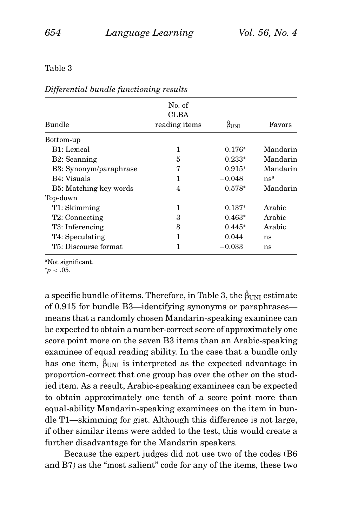### Table 3

| <b>Bundle</b>          | No. of<br>CLBA<br>reading items | $\beta$ <sub>UNI</sub> | Favors   |
|------------------------|---------------------------------|------------------------|----------|
| Bottom-up              |                                 |                        |          |
| B1: Lexical            | 1                               | $0.176*$               | Mandarin |
| B2: Scanning           | 5                               | $0.233*$               | Mandarin |
| B3: Synonym/paraphrase | 7                               | $0.915*$               | Mandarin |
| B4: Visuals            | 1                               | $-0.048$               | $ns^a$   |
| B5: Matching key words | 4                               | $0.578*$               | Mandarin |
| Top-down               |                                 |                        |          |
| T1: Skimming           | 1                               | $0.137*$               | Arabic   |
| T2: Connecting         | 3                               | $0.463*$               | Arabic   |
| T3: Inferencing        | 8                               | $0.445*$               | Arabic   |
| T4: Speculating        | 1                               | 0.044                  | ns       |
| T5: Discourse format   |                                 | $-0.033\,$             | ns       |

*Differential bundle functioning results*

a specific bundle of items. Therefore, in Table 3, the  $\hat{\beta}_{\text{UNI}}$  estimate of 0.915 for bundle B3—identifying synonyms or paraphrases means that a randomly chosen Mandarin-speaking examinee can be expected to obtain a number-correct score of approximately one score point more on the seven B3 items than an Arabic-speaking examinee of equal reading ability. In the case that a bundle only has one item,  $\hat{\beta}_{\text{UNI}}$  is interpreted as the expected advantage in proportion-correct that one group has over the other on the studied item. As a result, Arabic-speaking examinees can be expected to obtain approximately one tenth of a score point more than equal-ability Mandarin-speaking examinees on the item in bundle T1—skimming for gist. Although this difference is not large, if other similar items were added to the test, this would create a further disadvantage for the Mandarin speakers.

Because the expert judges did not use two of the codes (B6 and B7) as the "most salient" code for any of the items, these two

aNot significant.

*<sup>.</sup>*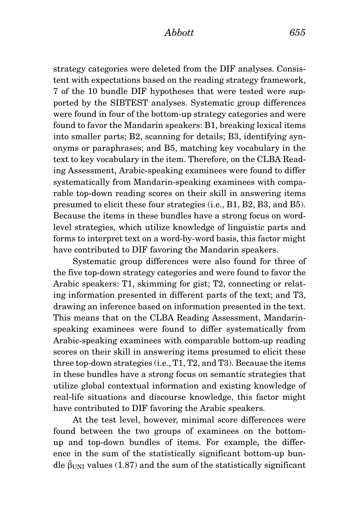strategy categories were deleted from the DIF analyses. Consistent with expectations based on the reading strategy framework, 7 of the 10 bundle DIF hypotheses that were tested were supported by the SIBTEST analyses. Systematic group differences were found in four of the bottom-up strategy categories and were found to favor the Mandarin speakers: B1, breaking lexical items into smaller parts; B2, scanning for details; B3, identifying synonyms or paraphrases; and B5, matching key vocabulary in the text to key vocabulary in the item. Therefore, on the CLBA Reading Assessment, Arabic-speaking examinees were found to differ systematically from Mandarin-speaking examinees with comparable top-down reading scores on their skill in answering items presumed to elicit these four strategies (i.e., B1, B2, B3, and B5). Because the items in these bundles have a strong focus on wordlevel strategies, which utilize knowledge of linguistic parts and forms to interpret text on a word-by-word basis, this factor might have contributed to DIF favoring the Mandarin speakers.

Systematic group differences were also found for three of the five top-down strategy categories and were found to favor the Arabic speakers: T1, skimming for gist; T2, connecting or relating information presented in different parts of the text; and T3, drawing an inference based on information presented in the text. This means that on the CLBA Reading Assessment, Mandarinspeaking examinees were found to differ systematically from Arabic-speaking examinees with comparable bottom-up reading scores on their skill in answering items presumed to elicit these three top-down strategies (i.e., T1, T2, and T3). Because the items in these bundles have a strong focus on semantic strategies that utilize global contextual information and existing knowledge of real-life situations and discourse knowledge, this factor might have contributed to DIF favoring the Arabic speakers.

At the test level, however, minimal score differences were found between the two groups of examinees on the bottomup and top-down bundles of items. For example, the difference in the sum of the statistically significant bottom-up bundle  $\hat{\beta}_{\text{UNI}}$  values (1.87) and the sum of the statistically significant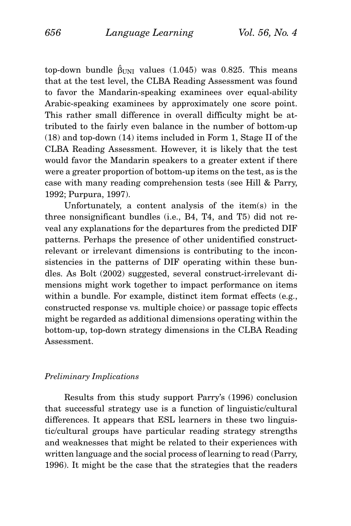top-down bundle  $\hat{\beta}_{\text{UNI}}$  values (1.045) was 0.825. This means that at the test level, the CLBA Reading Assessment was found to favor the Mandarin-speaking examinees over equal-ability Arabic-speaking examinees by approximately one score point. This rather small difference in overall difficulty might be attributed to the fairly even balance in the number of bottom-up (18) and top-down (14) items included in Form 1, Stage II of the CLBA Reading Assessment. However, it is likely that the test would favor the Mandarin speakers to a greater extent if there were a greater proportion of bottom-up items on the test, as is the case with many reading comprehension tests (see Hill & Parry, 1992; Purpura, 1997).

Unfortunately, a content analysis of the item(s) in the three nonsignificant bundles (i.e., B4, T4, and T5) did not reveal any explanations for the departures from the predicted DIF patterns. Perhaps the presence of other unidentified constructrelevant or irrelevant dimensions is contributing to the inconsistencies in the patterns of DIF operating within these bundles. As Bolt (2002) suggested, several construct-irrelevant dimensions might work together to impact performance on items within a bundle. For example, distinct item format effects (e.g., constructed response vs. multiple choice) or passage topic effects might be regarded as additional dimensions operating within the bottom-up, top-down strategy dimensions in the CLBA Reading Assessment.

#### *Preliminary Implications*

Results from this study support Parry's (1996) conclusion that successful strategy use is a function of linguistic/cultural differences. It appears that ESL learners in these two linguistic/cultural groups have particular reading strategy strengths and weaknesses that might be related to their experiences with written language and the social process of learning to read (Parry, 1996). It might be the case that the strategies that the readers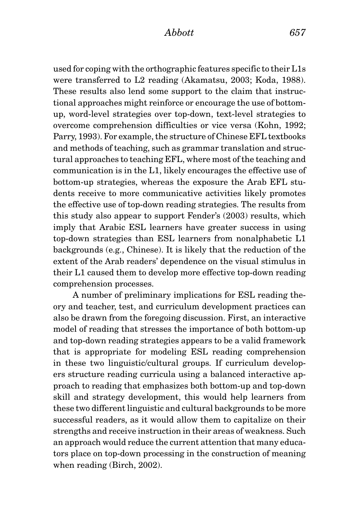used for coping with the orthographic features specific to their L1s were transferred to L2 reading (Akamatsu, 2003; Koda, 1988). These results also lend some support to the claim that instructional approaches might reinforce or encourage the use of bottomup, word-level strategies over top-down, text-level strategies to overcome comprehension difficulties or vice versa (Kohn, 1992; Parry, 1993). For example, the structure of Chinese EFL textbooks and methods of teaching, such as grammar translation and structural approaches to teaching EFL, where most of the teaching and communication is in the L1, likely encourages the effective use of bottom-up strategies, whereas the exposure the Arab EFL students receive to more communicative activities likely promotes the effective use of top-down reading strategies. The results from this study also appear to support Fender's (2003) results, which imply that Arabic ESL learners have greater success in using top-down strategies than ESL learners from nonalphabetic L1 backgrounds (e.g., Chinese). It is likely that the reduction of the extent of the Arab readers' dependence on the visual stimulus in their L1 caused them to develop more effective top-down reading comprehension processes.

A number of preliminary implications for ESL reading theory and teacher, test, and curriculum development practices can also be drawn from the foregoing discussion. First, an interactive model of reading that stresses the importance of both bottom-up and top-down reading strategies appears to be a valid framework that is appropriate for modeling ESL reading comprehension in these two linguistic/cultural groups. If curriculum developers structure reading curricula using a balanced interactive approach to reading that emphasizes both bottom-up and top-down skill and strategy development, this would help learners from these two different linguistic and cultural backgrounds to be more successful readers, as it would allow them to capitalize on their strengths and receive instruction in their areas of weakness. Such an approach would reduce the current attention that many educators place on top-down processing in the construction of meaning when reading (Birch, 2002).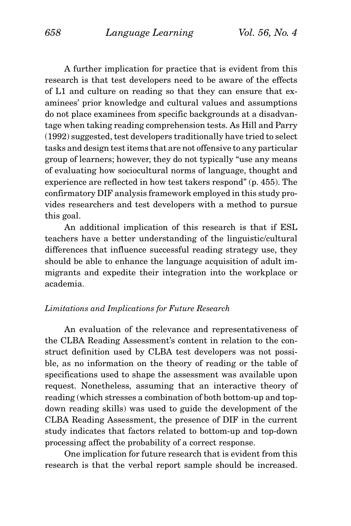A further implication for practice that is evident from this research is that test developers need to be aware of the effects of L1 and culture on reading so that they can ensure that examinees' prior knowledge and cultural values and assumptions do not place examinees from specific backgrounds at a disadvantage when taking reading comprehension tests. As Hill and Parry (1992) suggested, test developers traditionally have tried to select tasks and design test items that are not offensive to any particular group of learners; however, they do not typically "use any means of evaluating how sociocultural norms of language, thought and experience are reflected in how test takers respond" (p. 455). The confirmatory DIF analysis framework employed in this study provides researchers and test developers with a method to pursue this goal.

An additional implication of this research is that if ESL teachers have a better understanding of the linguistic/cultural differences that influence successful reading strategy use, they should be able to enhance the language acquisition of adult immigrants and expedite their integration into the workplace or academia.

# *Limitations and Implications for Future Research*

An evaluation of the relevance and representativeness of the CLBA Reading Assessment's content in relation to the construct definition used by CLBA test developers was not possible, as no information on the theory of reading or the table of specifications used to shape the assessment was available upon request. Nonetheless, assuming that an interactive theory of reading (which stresses a combination of both bottom-up and topdown reading skills) was used to guide the development of the CLBA Reading Assessment, the presence of DIF in the current study indicates that factors related to bottom-up and top-down processing affect the probability of a correct response.

One implication for future research that is evident from this research is that the verbal report sample should be increased.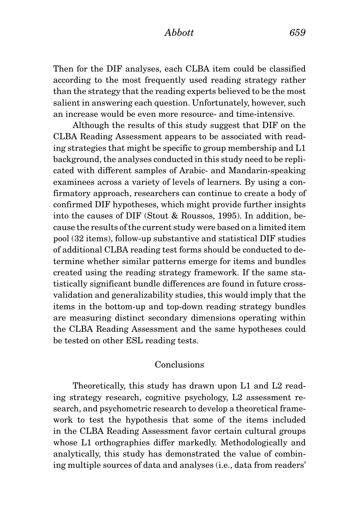Then for the DIF analyses, each CLBA item could be classified according to the most frequently used reading strategy rather than the strategy that the reading experts believed to be the most salient in answering each question. Unfortunately, however, such an increase would be even more resource- and time-intensive.

Although the results of this study suggest that DIF on the CLBA Reading Assessment appears to be associated with reading strategies that might be specific to group membership and L1 background, the analyses conducted in this study need to be replicated with different samples of Arabic- and Mandarin-speaking examinees across a variety of levels of learners. By using a confirmatory approach, researchers can continue to create a body of confirmed DIF hypotheses, which might provide further insights into the causes of DIF (Stout & Roussos, 1995). In addition, because the results of the current study were based on a limited item pool (32 items), follow-up substantive and statistical DIF studies of additional CLBA reading test forms should be conducted to determine whether similar patterns emerge for items and bundles created using the reading strategy framework. If the same statistically significant bundle differences are found in future crossvalidation and generalizability studies, this would imply that the items in the bottom-up and top-down reading strategy bundles are measuring distinct secondary dimensions operating within the CLBA Reading Assessment and the same hypotheses could be tested on other ESL reading tests.

# Conclusions

Theoretically, this study has drawn upon L1 and L2 reading strategy research, cognitive psychology, L2 assessment research, and psychometric research to develop a theoretical framework to test the hypothesis that some of the items included in the CLBA Reading Assessment favor certain cultural groups whose L1 orthographies differ markedly. Methodologically and analytically, this study has demonstrated the value of combining multiple sources of data and analyses (i.e., data from readers'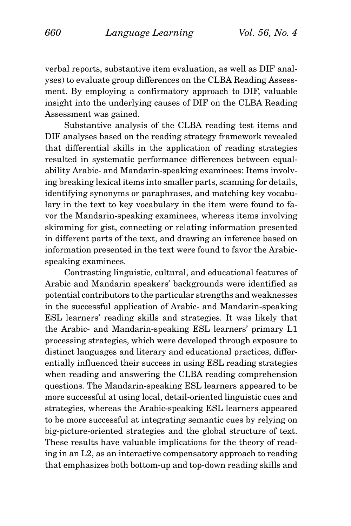verbal reports, substantive item evaluation, as well as DIF analyses) to evaluate group differences on the CLBA Reading Assessment. By employing a confirmatory approach to DIF, valuable insight into the underlying causes of DIF on the CLBA Reading Assessment was gained.

Substantive analysis of the CLBA reading test items and DIF analyses based on the reading strategy framework revealed that differential skills in the application of reading strategies resulted in systematic performance differences between equalability Arabic- and Mandarin-speaking examinees: Items involving breaking lexical items into smaller parts, scanning for details, identifying synonyms or paraphrases, and matching key vocabulary in the text to key vocabulary in the item were found to favor the Mandarin-speaking examinees, whereas items involving skimming for gist, connecting or relating information presented in different parts of the text, and drawing an inference based on information presented in the text were found to favor the Arabicspeaking examinees.

Contrasting linguistic, cultural, and educational features of Arabic and Mandarin speakers' backgrounds were identified as potential contributors to the particular strengths and weaknesses in the successful application of Arabic- and Mandarin-speaking ESL learners' reading skills and strategies. It was likely that the Arabic- and Mandarin-speaking ESL learners' primary L1 processing strategies, which were developed through exposure to distinct languages and literary and educational practices, differentially influenced their success in using ESL reading strategies when reading and answering the CLBA reading comprehension questions. The Mandarin-speaking ESL learners appeared to be more successful at using local, detail-oriented linguistic cues and strategies, whereas the Arabic-speaking ESL learners appeared to be more successful at integrating semantic cues by relying on big-picture-oriented strategies and the global structure of text. These results have valuable implications for the theory of reading in an L2, as an interactive compensatory approach to reading that emphasizes both bottom-up and top-down reading skills and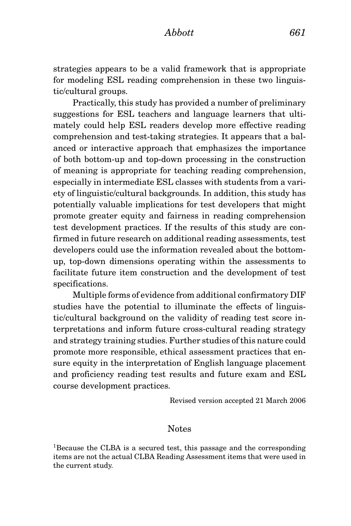strategies appears to be a valid framework that is appropriate for modeling ESL reading comprehension in these two linguistic/cultural groups.

Practically, this study has provided a number of preliminary suggestions for ESL teachers and language learners that ultimately could help ESL readers develop more effective reading comprehension and test-taking strategies. It appears that a balanced or interactive approach that emphasizes the importance of both bottom-up and top-down processing in the construction of meaning is appropriate for teaching reading comprehension, especially in intermediate ESL classes with students from a variety of linguistic/cultural backgrounds. In addition, this study has potentially valuable implications for test developers that might promote greater equity and fairness in reading comprehension test development practices. If the results of this study are confirmed in future research on additional reading assessments, test developers could use the information revealed about the bottomup, top-down dimensions operating within the assessments to facilitate future item construction and the development of test specifications.

Multiple forms of evidence from additional confirmatory DIF studies have the potential to illuminate the effects of linguistic/cultural background on the validity of reading test score interpretations and inform future cross-cultural reading strategy and strategy training studies. Further studies of this nature could promote more responsible, ethical assessment practices that ensure equity in the interpretation of English language placement and proficiency reading test results and future exam and ESL course development practices.

Revised version accepted 21 March 2006

#### Notes

1Because the CLBA is a secured test, this passage and the corresponding items are not the actual CLBA Reading Assessment items that were used in the current study.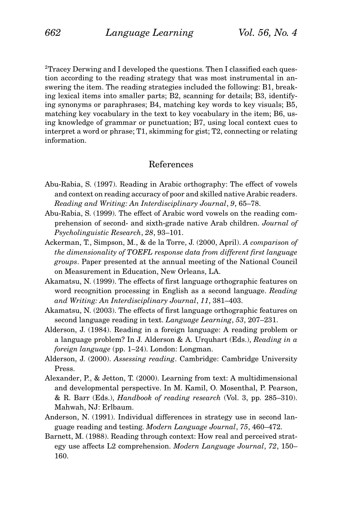<sup>2</sup>Tracey Derwing and I developed the questions. Then I classified each question according to the reading strategy that was most instrumental in answering the item. The reading strategies included the following: B1, breaking lexical items into smaller parts; B2, scanning for details; B3, identifying synonyms or paraphrases; B4, matching key words to key visuals; B5, matching key vocabulary in the text to key vocabulary in the item; B6, using knowledge of grammar or punctuation; B7, using local context cues to interpret a word or phrase; T1, skimming for gist; T2, connecting or relating information.

# References

- Abu-Rabia, S. (1997). Reading in Arabic orthography: The effect of vowels and context on reading accuracy of poor and skilled native Arabic readers. *Reading and Writing: An Interdisciplinary Journal*, *9*, 65–78.
- Abu-Rabia, S. (1999). The effect of Arabic word vowels on the reading comprehension of second- and sixth-grade native Arab children. *Journal of Psycholinguistic Research*, *28*, 93–101.
- Ackerman, T., Simpson, M., & de la Torre, J. (2000, April). *A comparison of the dimensionality of TOEFL response data from different first language groups*. Paper presented at the annual meeting of the National Council on Measurement in Education, New Orleans, LA.
- Akamatsu, N. (1999). The effects of first language orthographic features on word recognition processing in English as a second language. *Reading and Writing: An Interdisciplinary Journal*, *11*, 381–403.
- Akamatsu, N. (2003). The effects of first language orthographic features on second language reading in text. *Language Learning*, *53*, 207–231.
- Alderson, J. (1984). Reading in a foreign language: A reading problem or a language problem? In J. Alderson & A. Urquhart (Eds.), *Reading in a foreign language* (pp. 1–24). London: Longman.
- Alderson, J. (2000). *Assessing reading*. Cambridge: Cambridge University Press.
- Alexander, P., & Jetton, T. (2000). Learning from text: A multidimensional and developmental perspective. In M. Kamil, O. Mosenthal, P. Pearson, & R. Barr (Eds.), *Handbook of reading research* (Vol. 3, pp. 285–310). Mahwah, NJ: Erlbaum.
- Anderson, N. (1991). Individual differences in strategy use in second language reading and testing. *Modern Language Journal*, *75*, 460–472.
- Barnett, M. (1988). Reading through context: How real and perceived strategy use affects L2 comprehension. *Modern Language Journal*, *72*, 150– 160.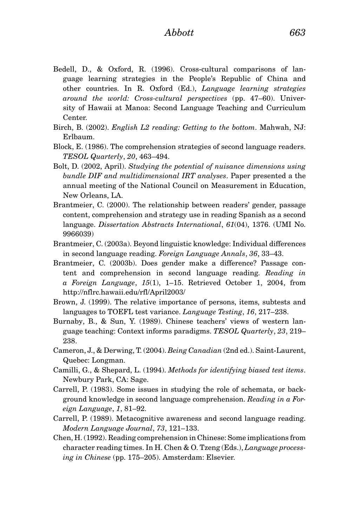- Bedell, D., & Oxford, R. (1996). Cross-cultural comparisons of language learning strategies in the People's Republic of China and other countries. In R. Oxford (Ed.), *Language learning strategies around the world: Cross-cultural perspectives* (pp. 47–60). University of Hawaii at Manoa: Second Language Teaching and Curriculum Center.
- Birch, B. (2002). *English L2 reading: Getting to the bottom*. Mahwah, NJ: Erlbaum.
- Block, E. (1986). The comprehension strategies of second language readers. *TESOL Quarterly*, *20*, 463–494.
- Bolt, D. (2002, April). *Studying the potential of nuisance dimensions using bundle DIF and multidimensional IRT analyses*. Paper presented a the annual meeting of the National Council on Measurement in Education, New Orleans, LA.
- Brantmeier, C. (2000). The relationship between readers' gender, passage content, comprehension and strategy use in reading Spanish as a second language. *Dissertation Abstracts International*, *61*(04), 1376. (UMI No. 9966039)
- Brantmeier, C. (2003a). Beyond linguistic knowledge: Individual differences in second language reading. *Foreign Language Annals*, *36*, 33–43.
- Brantmeier, C. (2003b). Does gender make a difference? Passage content and comprehension in second language reading. *Reading in a Foreign Language*, *15*(1), 1–15. Retrieved October 1, 2004, from http://nflrc.hawaii.edu/rfl/April2003/
- Brown, J. (1999). The relative importance of persons, items, subtests and languages to TOEFL test variance. *Language Testing*, *16*, 217–238.
- Burnaby, B., & Sun, Y. (1989). Chinese teachers' views of western language teaching: Context informs paradigms. *TESOL Quarterly*, *23*, 219– 238.
- Cameron, J., & Derwing, T. (2004). *Being Canadian* (2nd ed.). Saint-Laurent, Quebec: Longman.
- Camilli, G., & Shepard, L. (1994). *Methods for identifying biased test items*. Newbury Park, CA: Sage.
- Carrell, P. (1983). Some issues in studying the role of schemata, or background knowledge in second language comprehension. *Reading in a Foreign Language*, *1*, 81–92.
- Carrell, P. (1989). Metacognitive awareness and second language reading. *Modern Language Journal*, *73*, 121–133.
- Chen, H. (1992). Reading comprehension in Chinese: Some implications from character reading times. In H. Chen & O. Tzeng (Eds.), *Language processing in Chinese* (pp. 175–205). Amsterdam: Elsevier.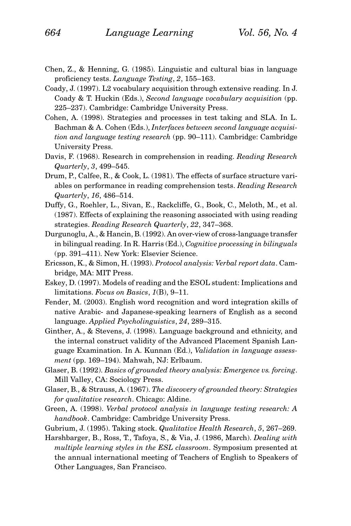- Chen, Z., & Henning, G. (1985). Linguistic and cultural bias in language proficiency tests. *Language Testing*, *2*, 155–163.
- Coady, J. (1997). L2 vocabulary acquisition through extensive reading. In J. Coady & T. Huckin (Eds.), *Second language vocabulary acquisition* (pp. 225–237). Cambridge: Cambridge University Press.
- Cohen, A. (1998). Strategies and processes in test taking and SLA. In L. Bachman & A. Cohen (Eds.), *Interfaces between second language acquisition and language testing research* (pp. 90–111). Cambridge: Cambridge University Press.
- Davis, F. (1968). Research in comprehension in reading. *Reading Research Quarterly*, *3*, 499–545.
- Drum, P., Calfee, R., & Cook, L. (1981). The effects of surface structure variables on performance in reading comprehension tests. *Reading Research Quarterly*, *16*, 486–514.
- Duffy, G., Roehler, L., Sivan, E., Rackcliffe, G., Book, C., Meloth, M., et al. (1987). Effects of explaining the reasoning associated with using reading strategies. *Reading Research Quarterly*, *22*, 347–368.
- Durgunoglu, A., & Hancin, B. (1992). An over-view of cross-language transfer in bilingual reading. In R. Harris (Ed.), *Cognitive processing in bilinguals* (pp. 391–411). New York: Elsevier Science.
- Ericsson, K., & Simon, H. (1993). *Protocol analysis: Verbal report data*. Cambridge, MA: MIT Press.
- Eskey, D. (1997). Models of reading and the ESOL student: Implications and limitations. *Focus on Basics*, *1*(B), 9–11.
- Fender, M. (2003). English word recognition and word integration skills of native Arabic- and Japanese-speaking learners of English as a second language. *Applied Psycholinguistics*, *24*, 289–315.
- Ginther, A., & Stevens, J. (1998). Language background and ethnicity, and the internal construct validity of the Advanced Placement Spanish Language Examination. In A. Kunnan (Ed.), *Validation in language assessment* (pp. 169–194). Mahwah, NJ: Erlbaum.
- Glaser, B. (1992). *Basics of grounded theory analysis: Emergence vs. forcing*. Mill Valley, CA: Sociology Press.
- Glaser, B., & Strauss, A. (1967). *The discovery of grounded theory: Strategies for qualitative research*. Chicago: Aldine.
- Green, A. (1998). *Verbal protocol analysis in language testing research: A handbook*. Cambridge: Cambridge University Press.
- Gubrium, J. (1995). Taking stock. *Qualitative Health Research*, *5*, 267–269.
- Harshbarger, B., Ross, T., Tafoya, S., & Via, J. (1986, March). *Dealing with multiple learning styles in the ESL classroom*. Symposium presented at the annual international meeting of Teachers of English to Speakers of Other Languages, San Francisco.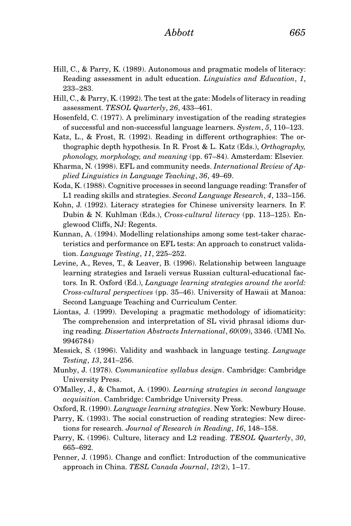- Hill, C., & Parry, K. (1989). Autonomous and pragmatic models of literacy: Reading assessment in adult education. *Linguistics and Education*, *1*, 233–283.
- Hill, C., & Parry, K. (1992). The test at the gate: Models of literacy in reading assessment. *TESOL Quarterly*, *26*, 433–461.
- Hosenfeld, C. (1977). A preliminary investigation of the reading strategies of successful and non-successful language learners. *System*, *5*, 110–123.
- Katz, L., & Frost, R. (1992). Reading in different orthographies: The orthographic depth hypothesis. In R. Frost & L. Katz (Eds.), *Orthography, phonology, morphology, and meaning* (pp. 67–84). Amsterdam: Elsevier.
- Kharma, N. (1998). EFL and community needs. *International Review of Applied Linguistics in Language Teaching*, *36*, 49–69.
- Koda, K. (1988). Cognitive processes in second language reading: Transfer of L1 reading skills and strategies. *Second Language Research*, *4*, 133–156.
- Kohn, J. (1992). Literacy strategies for Chinese university learners. In F. Dubin & N. Kuhlman (Eds.), *Cross-cultural literacy* (pp. 113–125). Englewood Cliffs, NJ: Regents.
- Kunnan, A. (1994). Modelling relationships among some test-taker characteristics and performance on EFL tests: An approach to construct validation. *Language Testing*, *11*, 225–252.
- Levine, A., Reves, T., & Leaver, B. (1996). Relationship between language learning strategies and Israeli versus Russian cultural-educational factors. In R. Oxford (Ed.), *Language learning strategies around the world: Cross-cultural perspectives* (pp. 35–46). University of Hawaii at Manoa: Second Language Teaching and Curriculum Center.
- Liontas, J. (1999). Developing a pragmatic methodology of idiomaticity: The comprehension and interpretation of SL vivid phrasal idioms during reading. *Dissertation Abstracts International*, *60*(09), 3346. (UMI No. 9946784)
- Messick, S. (1996). Validity and washback in language testing. *Language Testing*, *13*, 241–256.
- Munby, J. (1978). *Communicative syllabus design*. Cambridge: Cambridge University Press.
- O'Malley, J., & Chamot, A. (1990). *Learning strategies in second language acquisition*. Cambridge: Cambridge University Press.
- Oxford, R. (1990). *Language learning strategies*. New York: Newbury House.
- Parry, K. (1993). The social construction of reading strategies: New directions for research. *Journal of Research in Reading*, *16*, 148–158.
- Parry, K. (1996). Culture, literacy and L2 reading. *TESOL Quarterly*, *30*, 665–692.
- Penner, J. (1995). Change and conflict: Introduction of the communicative approach in China. *TESL Canada Journal*, *12*(2), 1–17.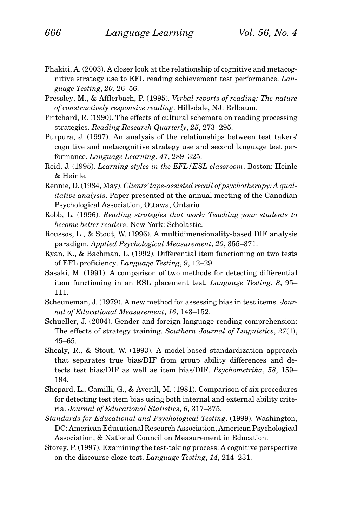- Phakiti, A. (2003). A closer look at the relationship of cognitive and metacognitive strategy use to EFL reading achievement test performance. *Language Testing*, *20*, 26–56.
- Pressley, M., & Afflerbach, P. (1995). *Verbal reports of reading: The nature of constructively responsive reading*. Hillsdale, NJ: Erlbaum.
- Pritchard, R. (1990). The effects of cultural schemata on reading processing strategies. *Reading Research Quarterly*, *25*, 273–295.
- Purpura, J. (1997). An analysis of the relationships between test takers' cognitive and metacognitive strategy use and second language test performance. *Language Learning*, *47*, 289–325.
- Reid, J. (1995). *Learning styles in the EFL/ESL classroom*. Boston: Heinle & Heinle.
- Rennie, D. (1984, May). *Clients' tape-assisted recall of psychotherapy: A qualitative analysis*. Paper presented at the annual meeting of the Canadian Psychological Association, Ottawa, Ontario.
- Robb, L. (1996). *Reading strategies that work: Teaching your students to become better readers*. New York: Scholastic.
- Roussos, L., & Stout, W. (1996). A multidimensionality-based DIF analysis paradigm. *Applied Psychological Measurement*, *20*, 355–371.
- Ryan, K., & Bachman, L. (1992). Differential item functioning on two tests of EFL proficiency. *Language Testing*, *9*, 12–29.
- Sasaki, M. (1991). A comparison of two methods for detecting differential item functioning in an ESL placement test. *Language Testing*, *8*, 95– 111.
- Scheuneman, J. (1979). A new method for assessing bias in test items. *Journal of Educational Measurement*, *16*, 143–152.
- Schueller, J. (2004). Gender and foreign language reading comprehension: The effects of strategy training. *Southern Journal of Linguistics*, *27*(1), 45–65.
- Shealy, R., & Stout, W. (1993). A model-based standardization approach that separates true bias/DIF from group ability differences and detects test bias/DIF as well as item bias/DIF. *Psychometrika*, *58*, 159– 194.
- Shepard, L., Camilli, G., & Averill, M. (1981). Comparison of six procedures for detecting test item bias using both internal and external ability criteria. *Journal of Educational Statistics*, *6*, 317–375.
- *Standards for Educational and Psychological Testing*. (1999). Washington, DC: American Educational Research Association, American Psychological Association, & National Council on Measurement in Education.
- Storey, P. (1997). Examining the test-taking process: A cognitive perspective on the discourse cloze test. *Language Testing*, *14*, 214–231.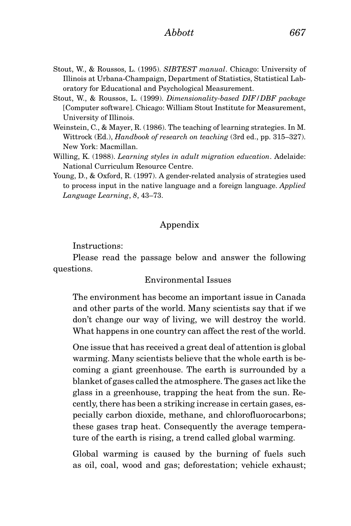- Stout, W., & Roussos, L. (1995). *SIBTEST manual*. Chicago: University of Illinois at Urbana-Champaign, Department of Statistics, Statistical Laboratory for Educational and Psychological Measurement.
- Stout, W., & Roussos, L. (1999). *Dimensionality-based DIF/DBF package* [Computer software]. Chicago: William Stout Institute for Measurement, University of Illinois.
- Weinstein, C., & Mayer, R. (1986). The teaching of learning strategies. In M. Wittrock (Ed.), *Handbook of research on teaching* (3rd ed., pp. 315–327). New York: Macmillan.
- Willing, K. (1988). *Learning styles in adult migration education*. Adelaide: National Curriculum Resource Centre.
- Young, D., & Oxford, R. (1997). A gender-related analysis of strategies used to process input in the native language and a foreign language. *Applied Language Learning*, *8*, 43–73.

# Appendix

Instructions:

Please read the passage below and answer the following questions.

# Environmental Issues

The environment has become an important issue in Canada and other parts of the world. Many scientists say that if we don't change our way of living, we will destroy the world. What happens in one country can affect the rest of the world.

One issue that has received a great deal of attention is global warming. Many scientists believe that the whole earth is becoming a giant greenhouse. The earth is surrounded by a blanket of gases called the atmosphere. The gases act like the glass in a greenhouse, trapping the heat from the sun. Recently, there has been a striking increase in certain gases, especially carbon dioxide, methane, and chlorofluorocarbons; these gases trap heat. Consequently the average temperature of the earth is rising, a trend called global warming.

Global warming is caused by the burning of fuels such as oil, coal, wood and gas; deforestation; vehicle exhaust;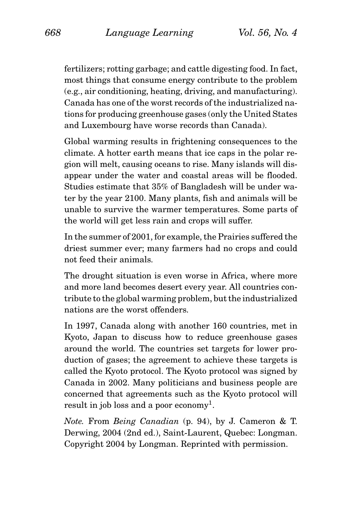fertilizers; rotting garbage; and cattle digesting food. In fact, most things that consume energy contribute to the problem (e.g., air conditioning, heating, driving, and manufacturing). Canada has one of the worst records of the industrialized nations for producing greenhouse gases (only the United States and Luxembourg have worse records than Canada).

Global warming results in frightening consequences to the climate. A hotter earth means that ice caps in the polar region will melt, causing oceans to rise. Many islands will disappear under the water and coastal areas will be flooded. Studies estimate that 35% of Bangladesh will be under water by the year 2100. Many plants, fish and animals will be unable to survive the warmer temperatures. Some parts of the world will get less rain and crops will suffer.

In the summer of 2001, for example, the Prairies suffered the driest summer ever; many farmers had no crops and could not feed their animals.

The drought situation is even worse in Africa, where more and more land becomes desert every year. All countries contribute to the global warming problem, but the industrialized nations are the worst offenders.

In 1997, Canada along with another 160 countries, met in Kyoto, Japan to discuss how to reduce greenhouse gases around the world. The countries set targets for lower production of gases; the agreement to achieve these targets is called the Kyoto protocol. The Kyoto protocol was signed by Canada in 2002. Many politicians and business people are concerned that agreements such as the Kyoto protocol will result in job loss and a poor economy<sup>1</sup>.

*Note.* From *Being Canadian* (p. 94), by J. Cameron & T. Derwing, 2004 (2nd ed.), Saint-Laurent, Quebec: Longman. Copyright 2004 by Longman. Reprinted with permission.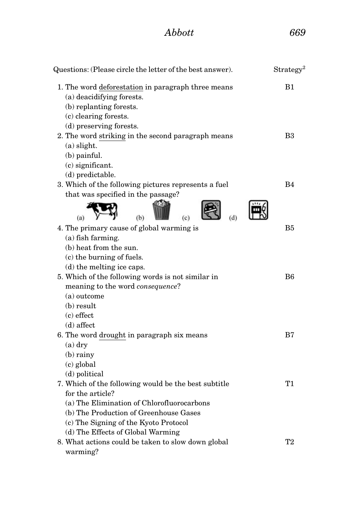# *Abbott 669*

| Questions: (Please circle the letter of the best answer). | Strategy <sup>2</sup> |
|-----------------------------------------------------------|-----------------------|
| 1. The word deforestation in paragraph three means        | B1                    |
| (a) deacidifying forests.                                 |                       |
| (b) replanting forests.                                   |                       |
| (c) clearing forests.                                     |                       |
| (d) preserving forests.                                   |                       |
| 2. The word striking in the second paragraph means        | B3                    |
| $(a)$ slight.                                             |                       |
| $(b)$ painful.                                            |                       |
| $(c)$ significant.                                        |                       |
| (d) predictable.                                          |                       |
| 3. Which of the following pictures represents a fuel      | B4                    |
| that was specified in the passage?                        |                       |
| (b)                                                       |                       |
| 4. The primary cause of global warming is                 | B5                    |
| (a) fish farming.                                         |                       |
| (b) heat from the sun.                                    |                       |
| (c) the burning of fuels.                                 |                       |
| (d) the melting ice caps.                                 |                       |
| 5. Which of the following words is not similar in         | B6                    |
| meaning to the word <i>consequence</i> ?                  |                       |
| $(a)$ outcome                                             |                       |
| (b) result                                                |                       |
| $(c)$ effect                                              |                       |
| $(d)$ affect                                              |                       |
| 6. The word drought in paragraph six means                | B7                    |
| $(a)$ dry                                                 |                       |
| $(b)$ rainy                                               |                       |
| $(c)$ global                                              |                       |
| (d) political                                             |                       |
| 7. Which of the following would be the best subtitle      | T1                    |
| for the article?                                          |                       |
| (a) The Elimination of Chlorofluorocarbons                |                       |
| (b) The Production of Greenhouse Gases                    |                       |
| (c) The Signing of the Kyoto Protocol                     |                       |
| (d) The Effects of Global Warming                         |                       |
| 8. What actions could be taken to slow down global        | T2                    |
| warming?                                                  |                       |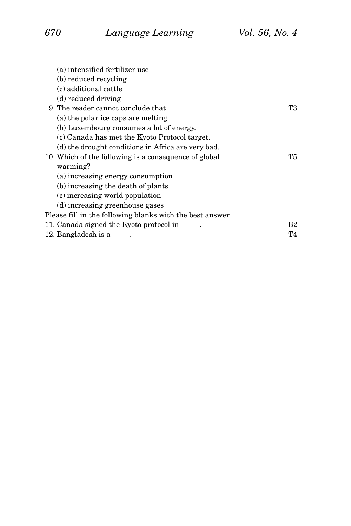| (a) intensified fertilizer use                            |    |
|-----------------------------------------------------------|----|
| (b) reduced recycling                                     |    |
| (c) additional cattle                                     |    |
| (d) reduced driving                                       |    |
| 9. The reader cannot conclude that                        | Т3 |
| (a) the polar ice caps are melting.                       |    |
| (b) Luxembourg consumes a lot of energy.                  |    |
| (c) Canada has met the Kyoto Protocol target.             |    |
| (d) the drought conditions in Africa are very bad.        |    |
| 10. Which of the following is a consequence of global     | Т5 |
| warming?                                                  |    |
| (a) increasing energy consumption                         |    |
| (b) increasing the death of plants                        |    |
| (c) increasing world population                           |    |
| (d) increasing greenhouse gases                           |    |
| Please fill in the following blanks with the best answer. |    |
| 11. Canada signed the Kyoto protocol in _____.            | B2 |
| 12. Bangladesh is a                                       | T4 |